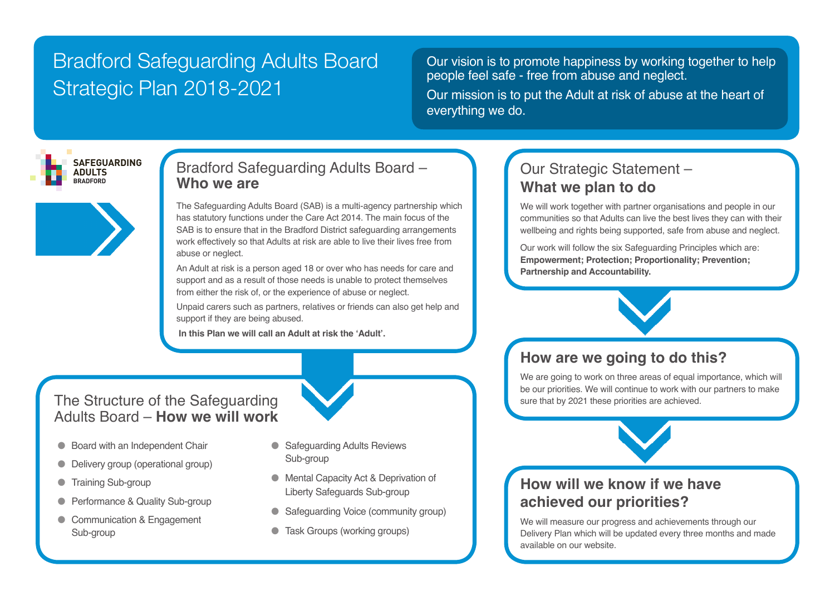# Bradford Safeguarding Adults Board Strategic Plan 2018-2021

Our vision is to promote happiness by working together to help people feel safe - free from abuse and neglect.

Our mission is to put the Adult at risk of abuse at the heart of everything we do.



### Bradford Safeguarding Adults Board – **Who we are**

The Safeguarding Adults Board (SAB) is a multi-agency partnership which has statutory functions under the Care Act 2014. The main focus of the SAB is to ensure that in the Bradford District safeguarding arrangements work effectively so that Adults at risk are able to live their lives free from abuse or neglect.

An Adult at risk is a person aged 18 or over who has needs for care and support and as a result of those needs is unable to protect themselves from either the risk of, or the experience of abuse or neglect.

Unpaid carers such as partners, relatives or friends can also get help and support if they are being abused.

 **In this Plan we will call an Adult at risk the 'Adult'.**

### The Structure of the Safeguarding Adults Board – **How we will work**

- Board with an Independent Chair
- **•** Delivery group (operational group)
- **Training Sub-group**
- Performance & Quality Sub-group
- Communication & Engagement Sub-group
- Safeguarding Adults Reviews Sub-group
- Mental Capacity Act & Deprivation of Liberty Safeguards Sub-group
- Safeguarding Voice (community group)
- **Task Groups (working groups)**

# Our Strategic Statement – **What we plan to do**

communities so that Adults can live the best lives they can with their<br>wellbeing and rights being eupperted, acto from abuse and poglect. We will work together with partner organisations and people in our wellbeing and rights being supported, safe from abuse and neglect.

We position to do not be proported, care from assess and negative comparison of the six Safeguarding Principles which are: **Empowerment; Protection; Proportionality; Prevention; Partnership and Accountability.** 

# **How are we going to do this?**

We are going to work on three areas of equal importance, which will be our priorities. We will continue to work with our partners to make sure that by 2021 these priorities are achieved.



## **How will we know if we have achieved our priorities?**

We will measure our progress and achievements through our Delivery Plan which will be updated every three months and made available on our website.